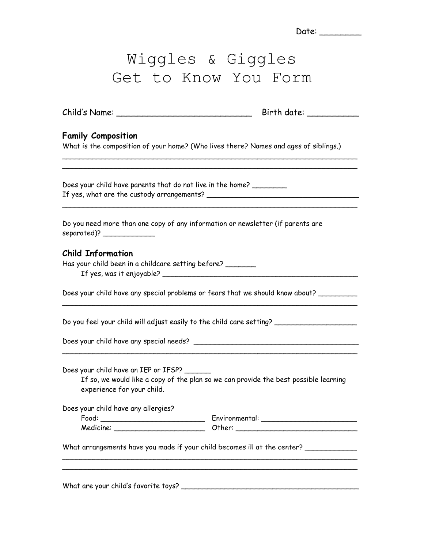|                                                                                                                   | Date: _______                                                                           |
|-------------------------------------------------------------------------------------------------------------------|-----------------------------------------------------------------------------------------|
|                                                                                                                   | Wiggles & Giggles<br>Get to Know You Form                                               |
|                                                                                                                   |                                                                                         |
| <b>Family Composition</b><br>What is the composition of your home? (Who lives there? Names and ages of siblings.) |                                                                                         |
| Does your child have parents that do not live in the home?                                                        |                                                                                         |
| Do you need more than one copy of any information or newsletter (if parents are                                   |                                                                                         |
| <b>Child Information</b><br>Has your child been in a childcare setting before?                                    |                                                                                         |
|                                                                                                                   | Does your child have any special problems or fears that we should know about? _________ |
|                                                                                                                   | Do you feel your child will adjust easily to the child care setting?                    |
|                                                                                                                   |                                                                                         |
| Does your child have an IEP or IFSP?<br>experience for your child.                                                | If so, we would like a copy of the plan so we can provide the best possible learning    |
| Does your child have any allergies?                                                                               |                                                                                         |
|                                                                                                                   | Medicine: ____________________________Other: ___________________________________        |
|                                                                                                                   | What arrangements have you made if your child becomes ill at the center? ____________   |
|                                                                                                                   |                                                                                         |